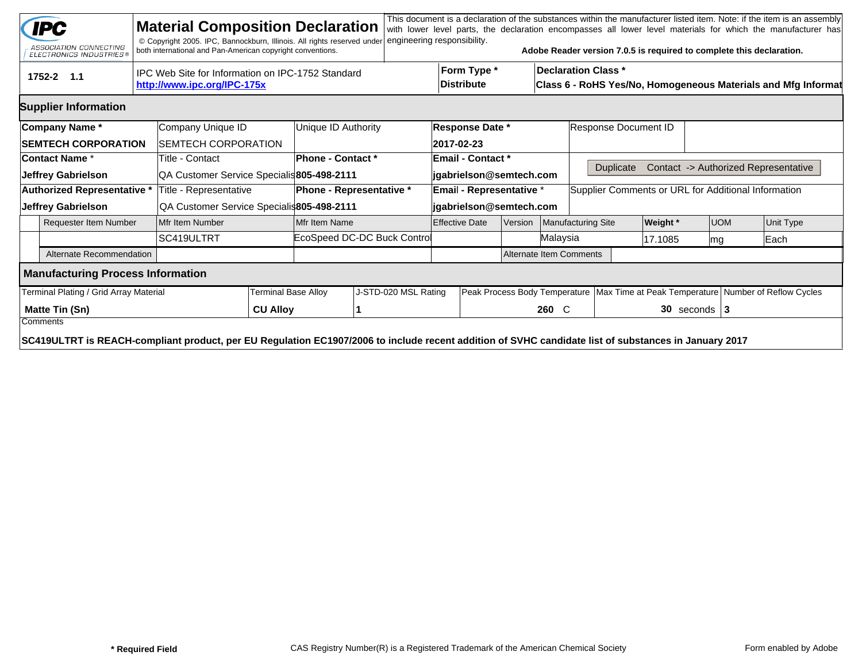|                                                                                                | <b>IPC</b><br>ASSOCIATION CONNECTING<br>ELECTRONICS INDUSTRIES®                                                                                                  |  | <b>Material Composition Declaration</b><br>© Copyright 2005. IPC, Bannockburn, Illinois. All rights reserved under<br>both international and Pan-American copyright conventions. |                            |                          | engineering responsibility. |                       |                                  |          |                      |                                                                                             |           | Adobe Reader version 7.0.5 is required to complete this declaration. |  |                                                                                        | This document is a declaration of the substances within the manufacturer listed item. Note: if the item is an assembly<br>with lower level parts, the declaration encompasses all lower level materials for which the manufacturer has |  |
|------------------------------------------------------------------------------------------------|------------------------------------------------------------------------------------------------------------------------------------------------------------------|--|----------------------------------------------------------------------------------------------------------------------------------------------------------------------------------|----------------------------|--------------------------|-----------------------------|-----------------------|----------------------------------|----------|----------------------|---------------------------------------------------------------------------------------------|-----------|----------------------------------------------------------------------|--|----------------------------------------------------------------------------------------|----------------------------------------------------------------------------------------------------------------------------------------------------------------------------------------------------------------------------------------|--|
| IPC Web Site for Information on IPC-1752 Standard<br>1752-2 1.1<br>http://www.ipc.org/IPC-175x |                                                                                                                                                                  |  |                                                                                                                                                                                  |                            |                          |                             |                       | Form Type *<br><b>Distribute</b> |          |                      | <b>Declaration Class *</b><br>Class 6 - RoHS Yes/No, Homogeneous Materials and Mfg Informat |           |                                                                      |  |                                                                                        |                                                                                                                                                                                                                                        |  |
|                                                                                                | <b>Supplier Information</b>                                                                                                                                      |  |                                                                                                                                                                                  |                            |                          |                             |                       |                                  |          |                      |                                                                                             |           |                                                                      |  |                                                                                        |                                                                                                                                                                                                                                        |  |
|                                                                                                | Company Name*                                                                                                                                                    |  | Company Unique ID                                                                                                                                                                |                            | Unique ID Authority      | <b>Response Date *</b>      |                       |                                  |          | Response Document ID |                                                                                             |           |                                                                      |  |                                                                                        |                                                                                                                                                                                                                                        |  |
|                                                                                                | <b>SEMTECH CORPORATION</b>                                                                                                                                       |  | <b>SEMTECH CORPORATION</b>                                                                                                                                                       |                            |                          |                             | 2017-02-23            |                                  |          |                      |                                                                                             |           |                                                                      |  |                                                                                        |                                                                                                                                                                                                                                        |  |
|                                                                                                | <b>Contact Name *</b>                                                                                                                                            |  | Title - Contact                                                                                                                                                                  |                            | <b>Phone - Contact *</b> |                             |                       | <b>Email - Contact *</b>         |          |                      |                                                                                             |           |                                                                      |  |                                                                                        |                                                                                                                                                                                                                                        |  |
| Jeffrey Gabrielson                                                                             |                                                                                                                                                                  |  | QA Customer Service Specialis 805-498-2111                                                                                                                                       |                            |                          |                             |                       | jgabrielson@semtech.com          |          |                      |                                                                                             | Duplicate |                                                                      |  |                                                                                        | Contact -> Authorized Representative                                                                                                                                                                                                   |  |
| Authorized Representative *                                                                    |                                                                                                                                                                  |  | Title - Representative                                                                                                                                                           |                            | Phone - Representative * |                             |                       | Email - Representative *         |          |                      | Supplier Comments or URL for Additional Information                                         |           |                                                                      |  |                                                                                        |                                                                                                                                                                                                                                        |  |
| Jeffrey Gabrielson                                                                             |                                                                                                                                                                  |  | QA Customer Service Specialis805-498-2111                                                                                                                                        |                            |                          | jgabrielson@semtech.com     |                       |                                  |          |                      |                                                                                             |           |                                                                      |  |                                                                                        |                                                                                                                                                                                                                                        |  |
| <b>Requester Item Number</b>                                                                   |                                                                                                                                                                  |  | Mfr Item Number                                                                                                                                                                  |                            | Mfr Item Name            |                             | <b>Effective Date</b> | Version                          |          |                      | Manufacturing Site<br><b>Weight</b> *                                                       |           | <b>UOM</b>                                                           |  | Unit Type                                                                              |                                                                                                                                                                                                                                        |  |
|                                                                                                |                                                                                                                                                                  |  | SC419ULTRT                                                                                                                                                                       |                            |                          | EcoSpeed DC-DC Buck Control |                       |                                  | Malaysia |                      |                                                                                             |           | 17.1085<br>lmg                                                       |  |                                                                                        | Each                                                                                                                                                                                                                                   |  |
|                                                                                                | Alternate Recommendation                                                                                                                                         |  |                                                                                                                                                                                  |                            |                          | Alternate Item Comments     |                       |                                  |          |                      |                                                                                             |           |                                                                      |  |                                                                                        |                                                                                                                                                                                                                                        |  |
|                                                                                                | <b>Manufacturing Process Information</b>                                                                                                                         |  |                                                                                                                                                                                  |                            |                          |                             |                       |                                  |          |                      |                                                                                             |           |                                                                      |  |                                                                                        |                                                                                                                                                                                                                                        |  |
|                                                                                                | Terminal Plating / Grid Array Material                                                                                                                           |  |                                                                                                                                                                                  | <b>Terminal Base Alloy</b> |                          | J-STD-020 MSL Rating        |                       |                                  |          |                      |                                                                                             |           |                                                                      |  | Peak Process Body Temperature   Max Time at Peak Temperature   Number of Reflow Cycles |                                                                                                                                                                                                                                        |  |
| Matte Tin (Sn)                                                                                 |                                                                                                                                                                  |  | <b>CU Alloy</b>                                                                                                                                                                  |                            |                          |                             |                       |                                  | 260 C    |                      |                                                                                             |           | $30$ seconds   3                                                     |  |                                                                                        |                                                                                                                                                                                                                                        |  |
|                                                                                                | Comments<br>SC419ULTRT is REACH-compliant product, per EU Regulation EC1907/2006 to include recent addition of SVHC candidate list of substances in January 2017 |  |                                                                                                                                                                                  |                            |                          |                             |                       |                                  |          |                      |                                                                                             |           |                                                                      |  |                                                                                        |                                                                                                                                                                                                                                        |  |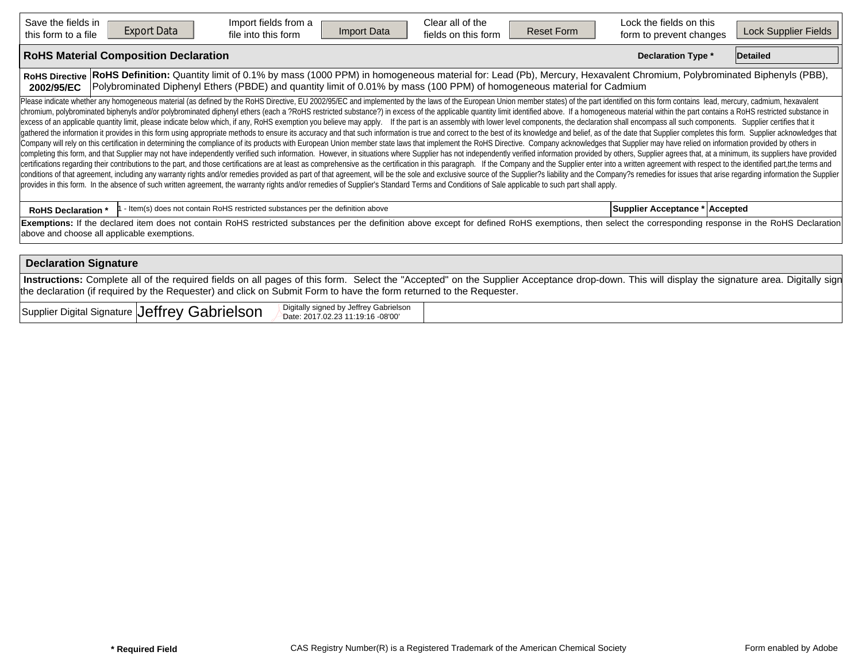| Save the fields in<br><b>Export Data</b><br>this form to a file                                                                                                                                                                                                                                                                                                                                                                                                                                                                                                                                                                                                                                                                                                                                                                                                                                                                                                                                                                                                                                                                                                                                                                                                                                                                                                                                                                                                                                                                                                                                                                                                                                                                                                                                                                                                                                                                                                                                                                                                             | Import fields from a<br>Import Data<br>file into this form                                                                                                                                                                                                                                  | Clear all of the<br>fields on this form | <b>Reset Form</b> | Lock the fields on this<br>form to prevent changes | Lock Supplier Fields |  |  |  |  |  |  |  |
|-----------------------------------------------------------------------------------------------------------------------------------------------------------------------------------------------------------------------------------------------------------------------------------------------------------------------------------------------------------------------------------------------------------------------------------------------------------------------------------------------------------------------------------------------------------------------------------------------------------------------------------------------------------------------------------------------------------------------------------------------------------------------------------------------------------------------------------------------------------------------------------------------------------------------------------------------------------------------------------------------------------------------------------------------------------------------------------------------------------------------------------------------------------------------------------------------------------------------------------------------------------------------------------------------------------------------------------------------------------------------------------------------------------------------------------------------------------------------------------------------------------------------------------------------------------------------------------------------------------------------------------------------------------------------------------------------------------------------------------------------------------------------------------------------------------------------------------------------------------------------------------------------------------------------------------------------------------------------------------------------------------------------------------------------------------------------------|---------------------------------------------------------------------------------------------------------------------------------------------------------------------------------------------------------------------------------------------------------------------------------------------|-----------------------------------------|-------------------|----------------------------------------------------|----------------------|--|--|--|--|--|--|--|
| <b>RoHS Material Composition Declaration</b>                                                                                                                                                                                                                                                                                                                                                                                                                                                                                                                                                                                                                                                                                                                                                                                                                                                                                                                                                                                                                                                                                                                                                                                                                                                                                                                                                                                                                                                                                                                                                                                                                                                                                                                                                                                                                                                                                                                                                                                                                                |                                                                                                                                                                                                                                                                                             |                                         |                   | <b>Declaration Type *</b>                          | Detailed             |  |  |  |  |  |  |  |
| <b>RoHS Directive</b><br>2002/95/EC                                                                                                                                                                                                                                                                                                                                                                                                                                                                                                                                                                                                                                                                                                                                                                                                                                                                                                                                                                                                                                                                                                                                                                                                                                                                                                                                                                                                                                                                                                                                                                                                                                                                                                                                                                                                                                                                                                                                                                                                                                         | RoHS Definition: Quantity limit of 0.1% by mass (1000 PPM) in homogeneous material for: Lead (Pb), Mercury, Hexavalent Chromium, Polybrominated Biphenyls (PBB),<br>Polybrominated Diphenyl Ethers (PBDE) and quantity limit of 0.01% by mass (100 PPM) of homogeneous material for Cadmium |                                         |                   |                                                    |                      |  |  |  |  |  |  |  |
| Please indicate whether any homogeneous material (as defined by the RoHS Directive, EU 2002/95/EC and implemented by the laws of the European Union member states) of the part identified on this form contains lead, mercury,<br>chromium, polybrominated biphenyls and/or polybrominated diphenyl ethers (each a ?RoHS restricted substance?) in excess of the applicable quantity limit identified above. If a homogeneous material within the part contains<br>excess of an applicable quantity limit, please indicate below which, if any, RoHS exemption you believe may apply. If the part is an assembly with lower level components, the declaration shall encompass all such components<br>gathered the information it provides in this form using appropriate methods to ensure its accuracy and that such information is true and correct to the best of its knowledge and belief, as of the date that Supplier complet<br>Company will rely on this certification in determining the compliance of its products with European Union member state laws that implement the RoHS Directive. Company acknowledges that Supplier may have relied on informati<br>completing this form, and that Supplier may not have independently verified such information. However, in situations where Supplier has not independently verified information provided by others, Supplier agrees that, at a<br>certifications regarding their contributions to the part, and those certifications are at least as comprehensive as the certification in this paragraph. If the Company and the Supplier enter into a written agreement with r<br>conditions of that agreement, including any warranty rights and/or remedies provided as part of that agreement, will be the sole and exclusive source of the Supplier?s liability and the Company?s remedies for issues that a<br>provides in this form. In the absence of such written agreement, the warranty rights and/or remedies of Supplier's Standard Terms and Conditions of Sale applicable to such part shall apply. |                                                                                                                                                                                                                                                                                             |                                         |                   |                                                    |                      |  |  |  |  |  |  |  |
| <b>RoHS Declaration *</b>                                                                                                                                                                                                                                                                                                                                                                                                                                                                                                                                                                                                                                                                                                                                                                                                                                                                                                                                                                                                                                                                                                                                                                                                                                                                                                                                                                                                                                                                                                                                                                                                                                                                                                                                                                                                                                                                                                                                                                                                                                                   | - Item(s) does not contain RoHS restricted substances per the definition above                                                                                                                                                                                                              |                                         |                   | Supplier Acceptance * Accepted                     |                      |  |  |  |  |  |  |  |
| above and choose all applicable exemptions.                                                                                                                                                                                                                                                                                                                                                                                                                                                                                                                                                                                                                                                                                                                                                                                                                                                                                                                                                                                                                                                                                                                                                                                                                                                                                                                                                                                                                                                                                                                                                                                                                                                                                                                                                                                                                                                                                                                                                                                                                                 | Exemptions: If the declared item does not contain RoHS restricted substances per the definition above except for defined RoHS exemptions, then select the corresponding response in the RoHS Declaration                                                                                    |                                         |                   |                                                    |                      |  |  |  |  |  |  |  |
| <b>Declaration Signature</b>                                                                                                                                                                                                                                                                                                                                                                                                                                                                                                                                                                                                                                                                                                                                                                                                                                                                                                                                                                                                                                                                                                                                                                                                                                                                                                                                                                                                                                                                                                                                                                                                                                                                                                                                                                                                                                                                                                                                                                                                                                                |                                                                                                                                                                                                                                                                                             |                                         |                   |                                                    |                      |  |  |  |  |  |  |  |
|                                                                                                                                                                                                                                                                                                                                                                                                                                                                                                                                                                                                                                                                                                                                                                                                                                                                                                                                                                                                                                                                                                                                                                                                                                                                                                                                                                                                                                                                                                                                                                                                                                                                                                                                                                                                                                                                                                                                                                                                                                                                             | Instructions: Complete all of the required fields on all pages of this form. Select the "Accepted" on the Supplier Acceptance drop-down. This will display the signature area. Digitally sign                                                                                               |                                         |                   |                                                    |                      |  |  |  |  |  |  |  |

the declaration (if required by the Requester) and click on Submit Form to have the form returned to the Requester.

Supplier Digital Signature Jeffrey Gabrielson  $\mathsf{Jeffrey}$  Gabrielson  $\mathbb{R}^{\mathsf{Digitally~signed~by~Jeffrey~Gabrielson}}$   $\mathsf{Def}$  of  $\mathsf{S}$